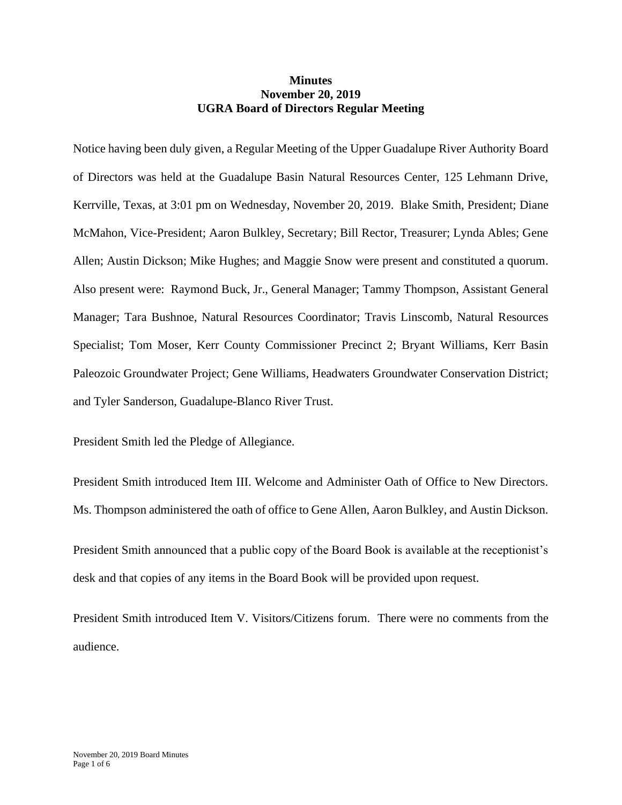## **Minutes November 20, 2019 UGRA Board of Directors Regular Meeting**

Notice having been duly given, a Regular Meeting of the Upper Guadalupe River Authority Board of Directors was held at the Guadalupe Basin Natural Resources Center, 125 Lehmann Drive, Kerrville, Texas, at 3:01 pm on Wednesday, November 20, 2019. Blake Smith, President; Diane McMahon, Vice-President; Aaron Bulkley, Secretary; Bill Rector, Treasurer; Lynda Ables; Gene Allen; Austin Dickson; Mike Hughes; and Maggie Snow were present and constituted a quorum. Also present were: Raymond Buck, Jr., General Manager; Tammy Thompson, Assistant General Manager; Tara Bushnoe, Natural Resources Coordinator; Travis Linscomb, Natural Resources Specialist; Tom Moser, Kerr County Commissioner Precinct 2; Bryant Williams, Kerr Basin Paleozoic Groundwater Project; Gene Williams, Headwaters Groundwater Conservation District; and Tyler Sanderson, Guadalupe-Blanco River Trust.

President Smith led the Pledge of Allegiance.

President Smith introduced Item III. Welcome and Administer Oath of Office to New Directors. Ms. Thompson administered the oath of office to Gene Allen, Aaron Bulkley, and Austin Dickson.

President Smith announced that a public copy of the Board Book is available at the receptionist's desk and that copies of any items in the Board Book will be provided upon request.

President Smith introduced Item V. Visitors/Citizens forum. There were no comments from the audience.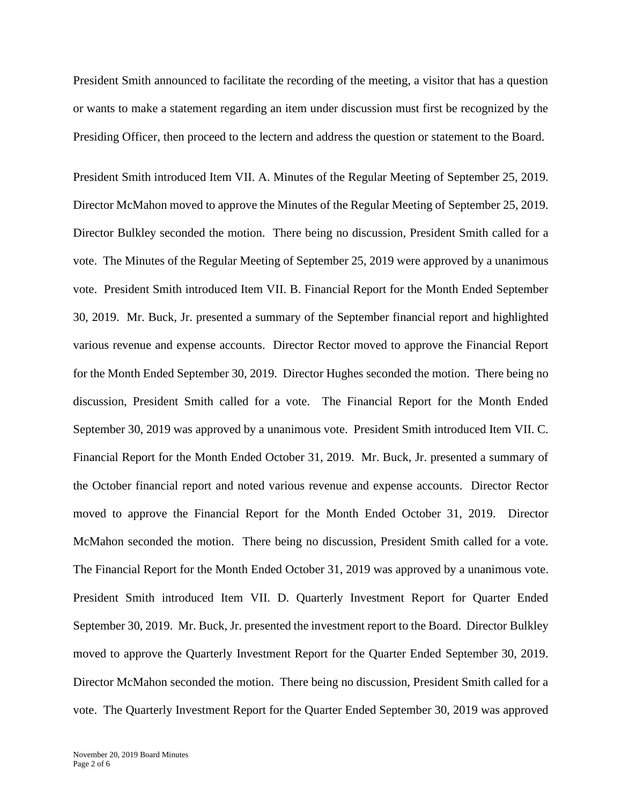President Smith announced to facilitate the recording of the meeting, a visitor that has a question or wants to make a statement regarding an item under discussion must first be recognized by the Presiding Officer, then proceed to the lectern and address the question or statement to the Board.

President Smith introduced Item VII. A. Minutes of the Regular Meeting of September 25, 2019. Director McMahon moved to approve the Minutes of the Regular Meeting of September 25, 2019. Director Bulkley seconded the motion. There being no discussion, President Smith called for a vote. The Minutes of the Regular Meeting of September 25, 2019 were approved by a unanimous vote. President Smith introduced Item VII. B. Financial Report for the Month Ended September 30, 2019. Mr. Buck, Jr. presented a summary of the September financial report and highlighted various revenue and expense accounts. Director Rector moved to approve the Financial Report for the Month Ended September 30, 2019. Director Hughes seconded the motion. There being no discussion, President Smith called for a vote. The Financial Report for the Month Ended September 30, 2019 was approved by a unanimous vote. President Smith introduced Item VII. C. Financial Report for the Month Ended October 31, 2019. Mr. Buck, Jr. presented a summary of the October financial report and noted various revenue and expense accounts. Director Rector moved to approve the Financial Report for the Month Ended October 31, 2019. Director McMahon seconded the motion. There being no discussion, President Smith called for a vote. The Financial Report for the Month Ended October 31, 2019 was approved by a unanimous vote. President Smith introduced Item VII. D. Quarterly Investment Report for Quarter Ended September 30, 2019. Mr. Buck, Jr. presented the investment report to the Board. Director Bulkley moved to approve the Quarterly Investment Report for the Quarter Ended September 30, 2019. Director McMahon seconded the motion. There being no discussion, President Smith called for a vote. The Quarterly Investment Report for the Quarter Ended September 30, 2019 was approved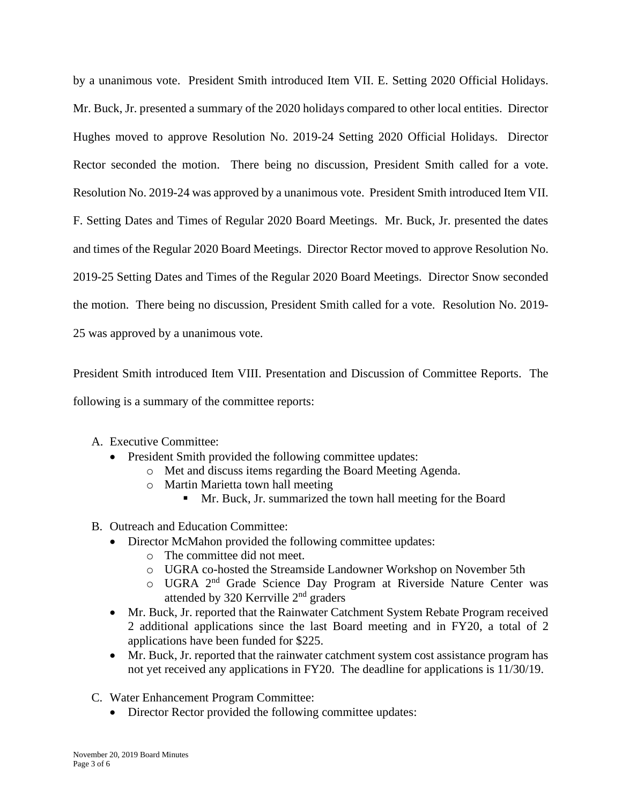by a unanimous vote. President Smith introduced Item VII. E. Setting 2020 Official Holidays. Mr. Buck, Jr. presented a summary of the 2020 holidays compared to other local entities. Director Hughes moved to approve Resolution No. 2019-24 Setting 2020 Official Holidays. Director Rector seconded the motion. There being no discussion, President Smith called for a vote. Resolution No. 2019-24 was approved by a unanimous vote. President Smith introduced Item VII. F. Setting Dates and Times of Regular 2020 Board Meetings. Mr. Buck, Jr. presented the dates and times of the Regular 2020 Board Meetings. Director Rector moved to approve Resolution No. 2019-25 Setting Dates and Times of the Regular 2020 Board Meetings. Director Snow seconded the motion. There being no discussion, President Smith called for a vote. Resolution No. 2019- 25 was approved by a unanimous vote.

President Smith introduced Item VIII. Presentation and Discussion of Committee Reports. The following is a summary of the committee reports:

- A. Executive Committee:
	- President Smith provided the following committee updates:
		- o Met and discuss items regarding the Board Meeting Agenda.
		- o Martin Marietta town hall meeting
			- Mr. Buck, Jr. summarized the town hall meeting for the Board
- B. Outreach and Education Committee:
	- Director McMahon provided the following committee updates:
		- o The committee did not meet.
		- o UGRA co-hosted the Streamside Landowner Workshop on November 5th
		- o UGRA 2nd Grade Science Day Program at Riverside Nature Center was attended by 320 Kerrville 2nd graders
	- Mr. Buck, Jr. reported that the Rainwater Catchment System Rebate Program received 2 additional applications since the last Board meeting and in FY20, a total of 2 applications have been funded for \$225.
	- Mr. Buck, Jr. reported that the rainwater catchment system cost assistance program has not yet received any applications in FY20. The deadline for applications is 11/30/19.
- C. Water Enhancement Program Committee:
	- Director Rector provided the following committee updates: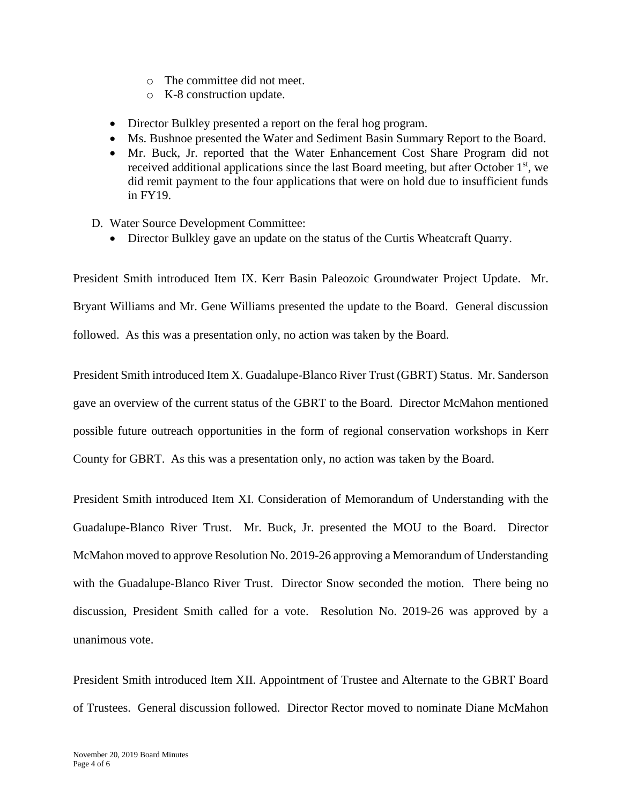- o The committee did not meet.
- o K-8 construction update.
- Director Bulkley presented a report on the feral hog program.
- Ms. Bushnoe presented the Water and Sediment Basin Summary Report to the Board.
- Mr. Buck, Jr. reported that the Water Enhancement Cost Share Program did not received additional applications since the last Board meeting, but after October  $1<sup>st</sup>$ , we did remit payment to the four applications that were on hold due to insufficient funds in FY19.
- D. Water Source Development Committee:
	- Director Bulkley gave an update on the status of the Curtis Wheatcraft Quarry.

President Smith introduced Item IX. Kerr Basin Paleozoic Groundwater Project Update. Mr. Bryant Williams and Mr. Gene Williams presented the update to the Board. General discussion followed. As this was a presentation only, no action was taken by the Board.

President Smith introduced Item X. Guadalupe-Blanco River Trust (GBRT) Status. Mr. Sanderson gave an overview of the current status of the GBRT to the Board. Director McMahon mentioned possible future outreach opportunities in the form of regional conservation workshops in Kerr County for GBRT. As this was a presentation only, no action was taken by the Board.

President Smith introduced Item XI. Consideration of Memorandum of Understanding with the Guadalupe-Blanco River Trust. Mr. Buck, Jr. presented the MOU to the Board. Director McMahon moved to approve Resolution No. 2019-26 approving a Memorandum of Understanding with the Guadalupe-Blanco River Trust. Director Snow seconded the motion. There being no discussion, President Smith called for a vote. Resolution No. 2019-26 was approved by a unanimous vote.

President Smith introduced Item XII. Appointment of Trustee and Alternate to the GBRT Board of Trustees. General discussion followed. Director Rector moved to nominate Diane McMahon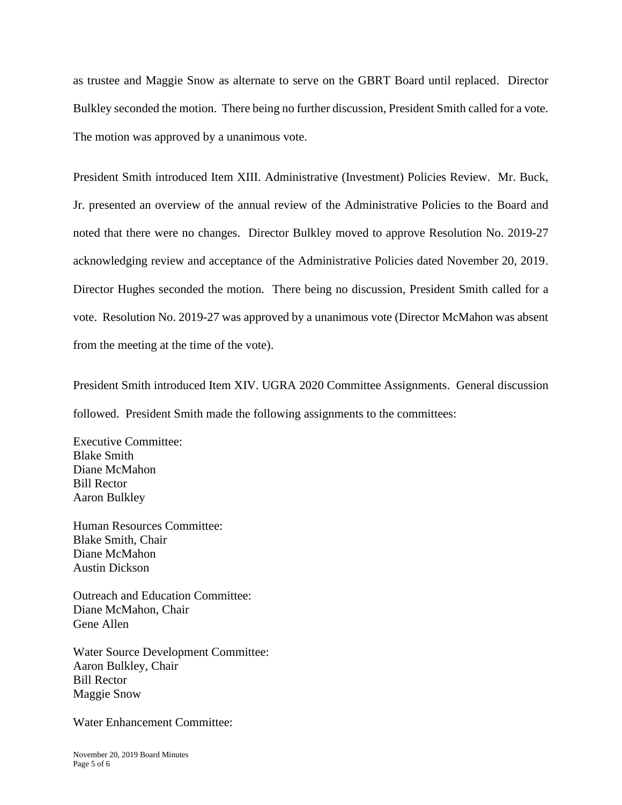as trustee and Maggie Snow as alternate to serve on the GBRT Board until replaced. Director Bulkley seconded the motion. There being no further discussion, President Smith called for a vote. The motion was approved by a unanimous vote.

President Smith introduced Item XIII. Administrative (Investment) Policies Review. Mr. Buck, Jr. presented an overview of the annual review of the Administrative Policies to the Board and noted that there were no changes. Director Bulkley moved to approve Resolution No. 2019-27 acknowledging review and acceptance of the Administrative Policies dated November 20, 2019. Director Hughes seconded the motion. There being no discussion, President Smith called for a vote. Resolution No. 2019-27 was approved by a unanimous vote (Director McMahon was absent from the meeting at the time of the vote).

President Smith introduced Item XIV. UGRA 2020 Committee Assignments. General discussion followed. President Smith made the following assignments to the committees:

Executive Committee: Blake Smith Diane McMahon Bill Rector Aaron Bulkley

Human Resources Committee: Blake Smith, Chair Diane McMahon Austin Dickson

Outreach and Education Committee: Diane McMahon, Chair Gene Allen

Water Source Development Committee: Aaron Bulkley, Chair Bill Rector Maggie Snow

Water Enhancement Committee: